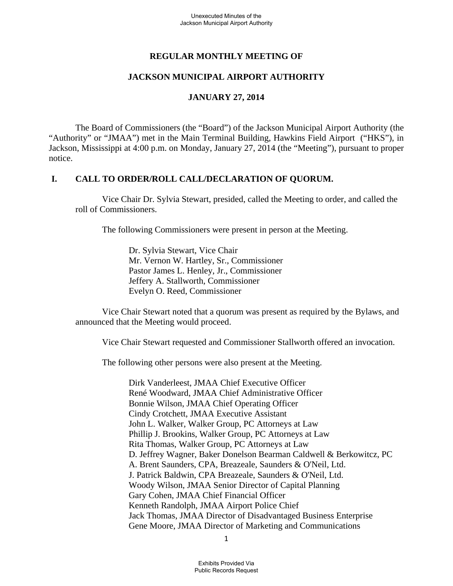# **REGULAR MONTHLY MEETING OF**

# **JACKSON MUNICIPAL AIRPORT AUTHORITY**

### **JANUARY 27, 2014**

 The Board of Commissioners (the "Board") of the Jackson Municipal Airport Authority (the "Authority" or "JMAA") met in the Main Terminal Building, Hawkins Field Airport ("HKS"), in Jackson, Mississippi at 4:00 p.m. on Monday, January 27, 2014 (the "Meeting"), pursuant to proper notice.

### **I. CALL TO ORDER/ROLL CALL/DECLARATION OF QUORUM.**

 Vice Chair Dr. Sylvia Stewart, presided, called the Meeting to order, and called the roll of Commissioners.

The following Commissioners were present in person at the Meeting.

Dr. Sylvia Stewart, Vice Chair Mr. Vernon W. Hartley, Sr., Commissioner Pastor James L. Henley, Jr., Commissioner Jeffery A. Stallworth, Commissioner Evelyn O. Reed, Commissioner

 Vice Chair Stewart noted that a quorum was present as required by the Bylaws, and announced that the Meeting would proceed.

Vice Chair Stewart requested and Commissioner Stallworth offered an invocation.

The following other persons were also present at the Meeting.

Dirk Vanderleest, JMAA Chief Executive Officer René Woodward, JMAA Chief Administrative Officer Bonnie Wilson, JMAA Chief Operating Officer Cindy Crotchett, JMAA Executive Assistant John L. Walker, Walker Group, PC Attorneys at Law Phillip J. Brookins, Walker Group, PC Attorneys at Law Rita Thomas, Walker Group, PC Attorneys at Law D. Jeffrey Wagner, Baker Donelson Bearman Caldwell & Berkowitcz, PC A. Brent Saunders, CPA, Breazeale, Saunders & O'Neil, Ltd. J. Patrick Baldwin, CPA Breazeale, Saunders & O'Neil, Ltd. Woody Wilson, JMAA Senior Director of Capital Planning Gary Cohen, JMAA Chief Financial Officer Kenneth Randolph, JMAA Airport Police Chief Jack Thomas, JMAA Director of Disadvantaged Business Enterprise Gene Moore, JMAA Director of Marketing and Communications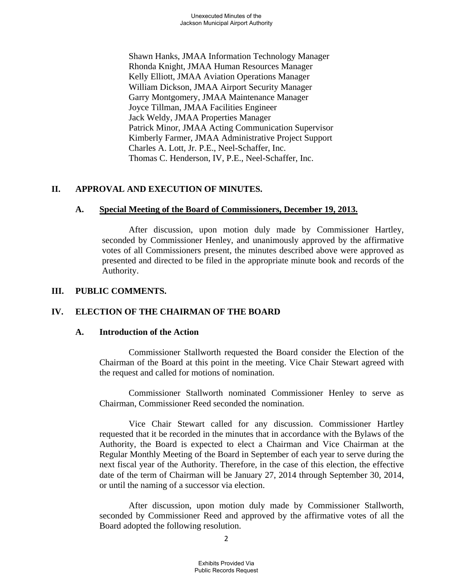Shawn Hanks, JMAA Information Technology Manager Rhonda Knight, JMAA Human Resources Manager Kelly Elliott, JMAA Aviation Operations Manager William Dickson, JMAA Airport Security Manager Garry Montgomery, JMAA Maintenance Manager Joyce Tillman, JMAA Facilities Engineer Jack Weldy, JMAA Properties Manager Patrick Minor, JMAA Acting Communication Supervisor Kimberly Farmer, JMAA Administrative Project Support Charles A. Lott, Jr. P.E., Neel-Schaffer, Inc. Thomas C. Henderson, IV, P.E., Neel-Schaffer, Inc.

# **II. APPROVAL AND EXECUTION OF MINUTES.**

### **A. Special Meeting of the Board of Commissioners, December 19, 2013.**

 After discussion, upon motion duly made by Commissioner Hartley, seconded by Commissioner Henley, and unanimously approved by the affirmative votes of all Commissioners present, the minutes described above were approved as presented and directed to be filed in the appropriate minute book and records of the Authority.

### **III. PUBLIC COMMENTS.**

# **IV. ELECTION OF THE CHAIRMAN OF THE BOARD**

### **A. Introduction of the Action**

Commissioner Stallworth requested the Board consider the Election of the Chairman of the Board at this point in the meeting. Vice Chair Stewart agreed with the request and called for motions of nomination.

 Commissioner Stallworth nominated Commissioner Henley to serve as Chairman, Commissioner Reed seconded the nomination.

 Vice Chair Stewart called for any discussion. Commissioner Hartley requested that it be recorded in the minutes that in accordance with the Bylaws of the Authority, the Board is expected to elect a Chairman and Vice Chairman at the Regular Monthly Meeting of the Board in September of each year to serve during the next fiscal year of the Authority. Therefore, in the case of this election, the effective date of the term of Chairman will be January 27, 2014 through September 30, 2014, or until the naming of a successor via election.

 After discussion, upon motion duly made by Commissioner Stallworth, seconded by Commissioner Reed and approved by the affirmative votes of all the Board adopted the following resolution.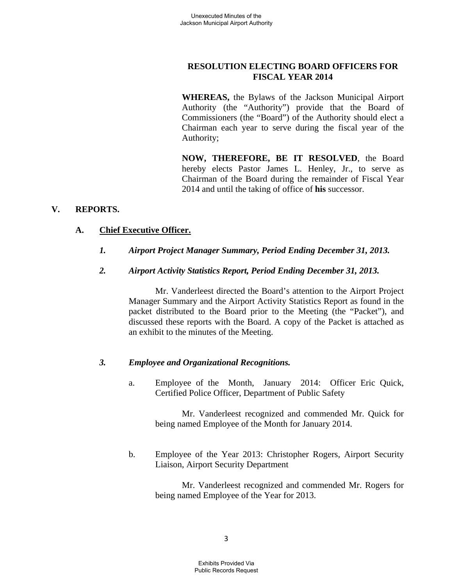# **RESOLUTION ELECTING BOARD OFFICERS FOR FISCAL YEAR 2014**

**WHEREAS,** the Bylaws of the Jackson Municipal Airport Authority (the "Authority") provide that the Board of Commissioners (the "Board") of the Authority should elect a Chairman each year to serve during the fiscal year of the Authority;

**NOW, THEREFORE, BE IT RESOLVED**, the Board hereby elects Pastor James L. Henley, Jr., to serve as Chairman of the Board during the remainder of Fiscal Year 2014 and until the taking of office of **his** successor.

# **V. REPORTS.**

### **A. Chief Executive Officer.**

*1. Airport Project Manager Summary, Period Ending December 31, 2013.* 

### *2. Airport Activity Statistics Report, Period Ending December 31, 2013.*

 Mr. Vanderleest directed the Board's attention to the Airport Project Manager Summary and the Airport Activity Statistics Report as found in the packet distributed to the Board prior to the Meeting (the "Packet"), and discussed these reports with the Board. A copy of the Packet is attached as an exhibit to the minutes of the Meeting.

### *3. Employee and Organizational Recognitions.*

a. Employee of the Month, January 2014: Officer Eric Quick, Certified Police Officer, Department of Public Safety

 Mr. Vanderleest recognized and commended Mr. Quick for being named Employee of the Month for January 2014.

b. Employee of the Year 2013: Christopher Rogers, Airport Security Liaison, Airport Security Department

> Mr. Vanderleest recognized and commended Mr. Rogers for being named Employee of the Year for 2013.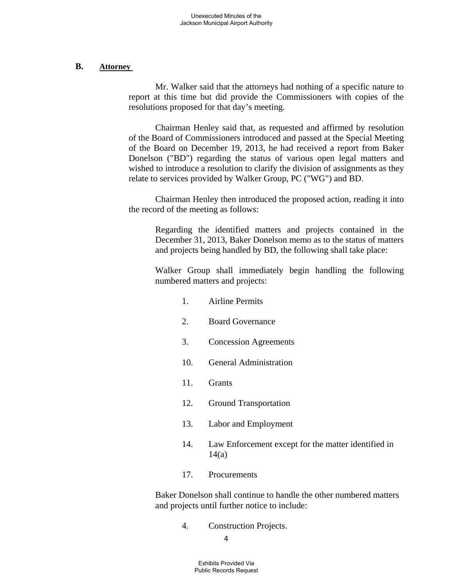#### **B. Attorney**

 Mr. Walker said that the attorneys had nothing of a specific nature to report at this time but did provide the Commissioners with copies of the resolutions proposed for that day's meeting.

 Chairman Henley said that, as requested and affirmed by resolution of the Board of Commissioners introduced and passed at the Special Meeting of the Board on December 19, 2013, he had received a report from Baker Donelson ("BD") regarding the status of various open legal matters and wished to introduce a resolution to clarify the division of assignments as they relate to services provided by Walker Group, PC ("WG") and BD.

 Chairman Henley then introduced the proposed action, reading it into the record of the meeting as follows:

Regarding the identified matters and projects contained in the December 31, 2013, Baker Donelson memo as to the status of matters and projects being handled by BD, the following shall take place:

Walker Group shall immediately begin handling the following numbered matters and projects:

- 1. Airline Permits
- 2. Board Governance
- 3. Concession Agreements
- 10. General Administration
- 11. Grants
- 12. Ground Transportation
- 13. Labor and Employment
- 14. Law Enforcement except for the matter identified in  $14(a)$
- 17. Procurements

Baker Donelson shall continue to handle the other numbered matters and projects until further notice to include:

4. Construction Projects.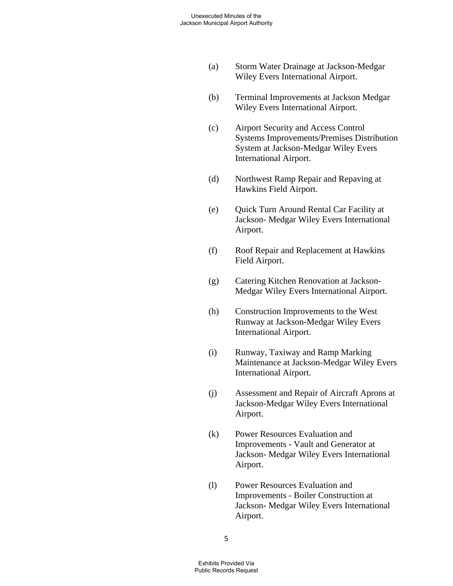- (a) Storm Water Drainage at Jackson-Medgar Wiley Evers International Airport.
- (b) Terminal Improvements at Jackson Medgar Wiley Evers International Airport.
- (c) Airport Security and Access Control Systems Improvements/Premises Distribution System at Jackson-Medgar Wiley Evers International Airport.
- (d) Northwest Ramp Repair and Repaving at Hawkins Field Airport.
- (e) Quick Turn Around Rental Car Facility at Jackson- Medgar Wiley Evers International Airport.
- (f) Roof Repair and Replacement at Hawkins Field Airport.
- (g) Catering Kitchen Renovation at Jackson- Medgar Wiley Evers International Airport.
- (h) Construction Improvements to the West Runway at Jackson-Medgar Wiley Evers International Airport.
- (i) Runway, Taxiway and Ramp Marking Maintenance at Jackson-Medgar Wiley Evers International Airport.
- (j) Assessment and Repair of Aircraft Aprons at Jackson-Medgar Wiley Evers International Airport.
- (k) Power Resources Evaluation and Improvements - Vault and Generator at Jackson- Medgar Wiley Evers International Airport.
- (l) Power Resources Evaluation and Improvements - Boiler Construction at Jackson- Medgar Wiley Evers International Airport.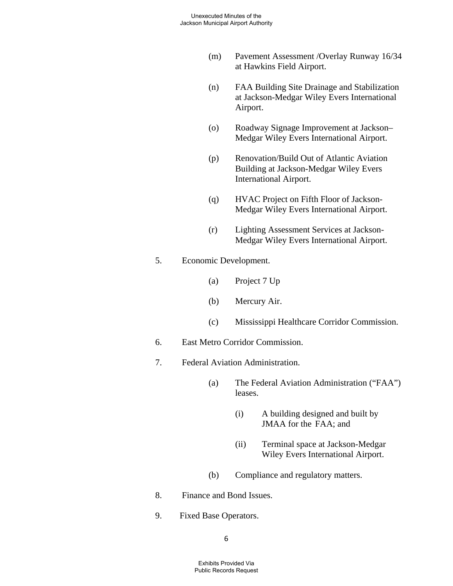- (m) Pavement Assessment /Overlay Runway 16/34 at Hawkins Field Airport.
- (n) FAA Building Site Drainage and Stabilization at Jackson-Medgar Wiley Evers International Airport.
- (o) Roadway Signage Improvement at Jackson– Medgar Wiley Evers International Airport.
- (p) Renovation/Build Out of Atlantic Aviation Building at Jackson-Medgar Wiley Evers International Airport.
- (q) HVAC Project on Fifth Floor of Jackson- Medgar Wiley Evers International Airport.
- (r) Lighting Assessment Services at Jackson- Medgar Wiley Evers International Airport.
- 5. Economic Development.
	- (a) Project 7 Up
	- (b) Mercury Air.
	- (c) Mississippi Healthcare Corridor Commission.
- 6. East Metro Corridor Commission.
- 7. Federal Aviation Administration.
	- (a) The Federal Aviation Administration ("FAA") leases.
		- (i) A building designed and built by JMAA for the FAA; and
		- (ii) Terminal space at Jackson-Medgar Wiley Evers International Airport.
	- (b) Compliance and regulatory matters.
- 8. Finance and Bond Issues.
- 9. Fixed Base Operators.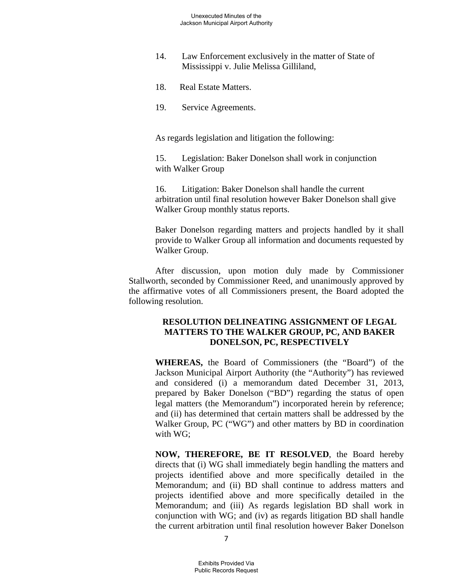- 14. Law Enforcement exclusively in the matter of State of Mississippi v. Julie Melissa Gilliland,
- 18. Real Estate Matters.
- 19. Service Agreements.

As regards legislation and litigation the following:

 15. Legislation: Baker Donelson shall work in conjunction with Walker Group

 16. Litigation: Baker Donelson shall handle the current arbitration until final resolution however Baker Donelson shall give Walker Group monthly status reports.

Baker Donelson regarding matters and projects handled by it shall provide to Walker Group all information and documents requested by Walker Group.

 After discussion, upon motion duly made by Commissioner Stallworth, seconded by Commissioner Reed, and unanimously approved by the affirmative votes of all Commissioners present, the Board adopted the following resolution.

#### **RESOLUTION DELINEATING ASSIGNMENT OF LEGAL MATTERS TO THE WALKER GROUP, PC, AND BAKER DONELSON, PC, RESPECTIVELY**

**WHEREAS,** the Board of Commissioners (the "Board") of the Jackson Municipal Airport Authority (the "Authority") has reviewed and considered (i) a memorandum dated December 31, 2013, prepared by Baker Donelson ("BD") regarding the status of open legal matters (the Memorandum") incorporated herein by reference; and (ii) has determined that certain matters shall be addressed by the Walker Group, PC ("WG") and other matters by BD in coordination with WG;

**NOW, THEREFORE, BE IT RESOLVED**, the Board hereby directs that (i) WG shall immediately begin handling the matters and projects identified above and more specifically detailed in the Memorandum; and (ii) BD shall continue to address matters and projects identified above and more specifically detailed in the Memorandum; and (iii) As regards legislation BD shall work in conjunction with WG; and (iv) as regards litigation BD shall handle the current arbitration until final resolution however Baker Donelson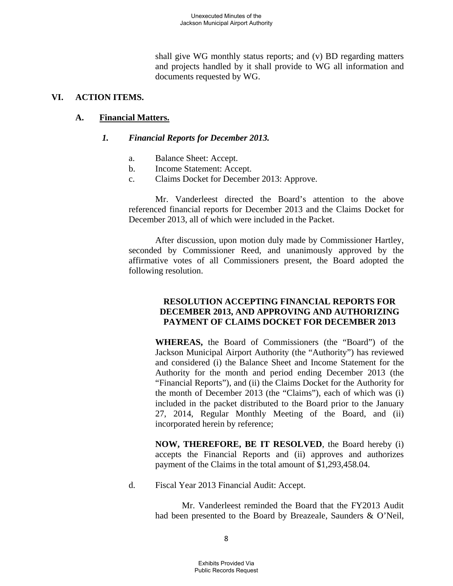shall give WG monthly status reports; and (v) BD regarding matters and projects handled by it shall provide to WG all information and documents requested by WG.

#### **VI. ACTION ITEMS.**

### **A. Financial Matters.**

### *1. Financial Reports for December 2013.*

- a. Balance Sheet: Accept.
- b. Income Statement: Accept.
- c. Claims Docket for December 2013: Approve.

 Mr. Vanderleest directed the Board's attention to the above referenced financial reports for December 2013 and the Claims Docket for December 2013, all of which were included in the Packet.

 After discussion, upon motion duly made by Commissioner Hartley, seconded by Commissioner Reed, and unanimously approved by the affirmative votes of all Commissioners present, the Board adopted the following resolution.

### **RESOLUTION ACCEPTING FINANCIAL REPORTS FOR DECEMBER 2013, AND APPROVING AND AUTHORIZING PAYMENT OF CLAIMS DOCKET FOR DECEMBER 2013**

**WHEREAS,** the Board of Commissioners (the "Board") of the Jackson Municipal Airport Authority (the "Authority") has reviewed and considered (i) the Balance Sheet and Income Statement for the Authority for the month and period ending December 2013 (the "Financial Reports"), and (ii) the Claims Docket for the Authority for the month of December 2013 (the "Claims"), each of which was (i) included in the packet distributed to the Board prior to the January 27, 2014, Regular Monthly Meeting of the Board, and (ii) incorporated herein by reference;

**NOW, THEREFORE, BE IT RESOLVED**, the Board hereby (i) accepts the Financial Reports and (ii) approves and authorizes payment of the Claims in the total amount of \$1,293,458.04.

d. Fiscal Year 2013 Financial Audit: Accept.

 Mr. Vanderleest reminded the Board that the FY2013 Audit had been presented to the Board by Breazeale, Saunders & O'Neil,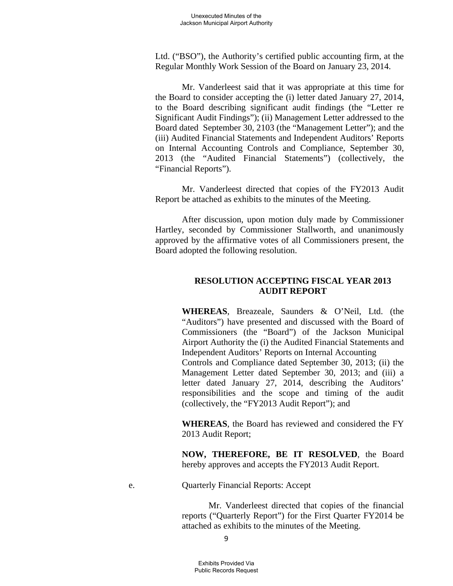Ltd. ("BSO"), the Authority's certified public accounting firm, at the Regular Monthly Work Session of the Board on January 23, 2014.

 Mr. Vanderleest said that it was appropriate at this time for the Board to consider accepting the (i) letter dated January 27, 2014, to the Board describing significant audit findings (the "Letter re Significant Audit Findings"); (ii) Management Letter addressed to the Board dated September 30, 2103 (the "Management Letter"); and the (iii) Audited Financial Statements and Independent Auditors' Reports on Internal Accounting Controls and Compliance, September 30, 2013 (the "Audited Financial Statements") (collectively, the "Financial Reports").

 Mr. Vanderleest directed that copies of the FY2013 Audit Report be attached as exhibits to the minutes of the Meeting.

 After discussion, upon motion duly made by Commissioner Hartley, seconded by Commissioner Stallworth, and unanimously approved by the affirmative votes of all Commissioners present, the Board adopted the following resolution.

### **RESOLUTION ACCEPTING FISCAL YEAR 2013 AUDIT REPORT**

**WHEREAS**, Breazeale, Saunders & O'Neil, Ltd. (the "Auditors") have presented and discussed with the Board of Commissioners (the "Board") of the Jackson Municipal Airport Authority the (i) the Audited Financial Statements and Independent Auditors' Reports on Internal Accounting

Controls and Compliance dated September 30, 2013; (ii) the Management Letter dated September 30, 2013; and (iii) a letter dated January 27, 2014, describing the Auditors' responsibilities and the scope and timing of the audit (collectively, the "FY2013 Audit Report"); and

**WHEREAS**, the Board has reviewed and considered the FY 2013 Audit Report;

**NOW, THEREFORE, BE IT RESOLVED**, the Board hereby approves and accepts the FY2013 Audit Report.

e. Quarterly Financial Reports: Accept

Mr. Vanderleest directed that copies of the financial reports ("Quarterly Report") for the First Quarter FY2014 be attached as exhibits to the minutes of the Meeting.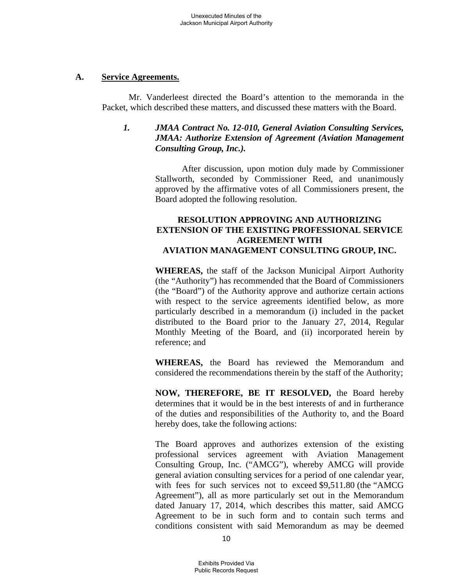### **A. Service Agreements.**

 Mr. Vanderleest directed the Board's attention to the memoranda in the Packet, which described these matters, and discussed these matters with the Board.

# *1. JMAA Contract No. 12-010, General Aviation Consulting Services, JMAA: Authorize Extension of Agreement (Aviation Management Consulting Group, Inc.).*

 After discussion, upon motion duly made by Commissioner Stallworth, seconded by Commissioner Reed, and unanimously approved by the affirmative votes of all Commissioners present, the Board adopted the following resolution.

# **RESOLUTION APPROVING AND AUTHORIZING EXTENSION OF THE EXISTING PROFESSIONAL SERVICE AGREEMENT WITH AVIATION MANAGEMENT CONSULTING GROUP, INC.**

**WHEREAS,** the staff of the Jackson Municipal Airport Authority (the "Authority") has recommended that the Board of Commissioners (the "Board") of the Authority approve and authorize certain actions with respect to the service agreements identified below, as more particularly described in a memorandum (i) included in the packet distributed to the Board prior to the January 27, 2014, Regular Monthly Meeting of the Board, and (ii) incorporated herein by reference; and

**WHEREAS,** the Board has reviewed the Memorandum and considered the recommendations therein by the staff of the Authority;

**NOW, THEREFORE, BE IT RESOLVED,** the Board hereby determines that it would be in the best interests of and in furtherance of the duties and responsibilities of the Authority to, and the Board hereby does, take the following actions:

The Board approves and authorizes extension of the existing professional services agreement with Aviation Management Consulting Group, Inc. ("AMCG"), whereby AMCG will provide general aviation consulting services for a period of one calendar year, with fees for such services not to exceed \$9,511.80 (the "AMCG Agreement"), all as more particularly set out in the Memorandum dated January 17, 2014, which describes this matter, said AMCG Agreement to be in such form and to contain such terms and conditions consistent with said Memorandum as may be deemed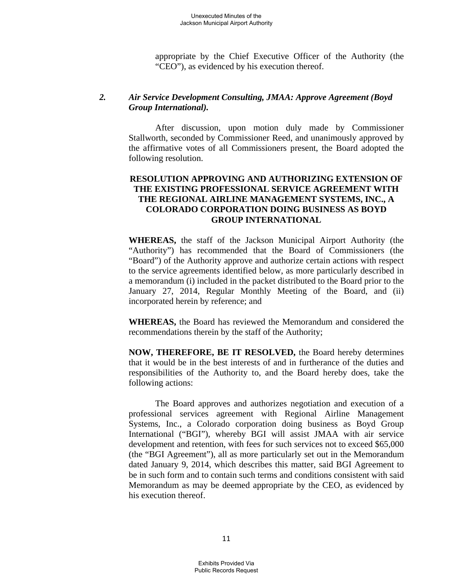appropriate by the Chief Executive Officer of the Authority (the "CEO"), as evidenced by his execution thereof.

### *2. Air Service Development Consulting, JMAA: Approve Agreement (Boyd Group International).*

 After discussion, upon motion duly made by Commissioner Stallworth, seconded by Commissioner Reed, and unanimously approved by the affirmative votes of all Commissioners present, the Board adopted the following resolution.

# **RESOLUTION APPROVING AND AUTHORIZING EXTENSION OF THE EXISTING PROFESSIONAL SERVICE AGREEMENT WITH THE REGIONAL AIRLINE MANAGEMENT SYSTEMS, INC., A COLORADO CORPORATION DOING BUSINESS AS BOYD GROUP INTERNATIONAL**

**WHEREAS,** the staff of the Jackson Municipal Airport Authority (the "Authority") has recommended that the Board of Commissioners (the "Board") of the Authority approve and authorize certain actions with respect to the service agreements identified below, as more particularly described in a memorandum (i) included in the packet distributed to the Board prior to the January 27, 2014, Regular Monthly Meeting of the Board, and (ii) incorporated herein by reference; and

**WHEREAS,** the Board has reviewed the Memorandum and considered the recommendations therein by the staff of the Authority;

**NOW, THEREFORE, BE IT RESOLVED,** the Board hereby determines that it would be in the best interests of and in furtherance of the duties and responsibilities of the Authority to, and the Board hereby does, take the following actions:

 The Board approves and authorizes negotiation and execution of a professional services agreement with Regional Airline Management Systems, Inc., a Colorado corporation doing business as Boyd Group International ("BGI"), whereby BGI will assist JMAA with air service development and retention, with fees for such services not to exceed \$65,000 (the "BGI Agreement"), all as more particularly set out in the Memorandum dated January 9, 2014, which describes this matter, said BGI Agreement to be in such form and to contain such terms and conditions consistent with said Memorandum as may be deemed appropriate by the CEO, as evidenced by his execution thereof.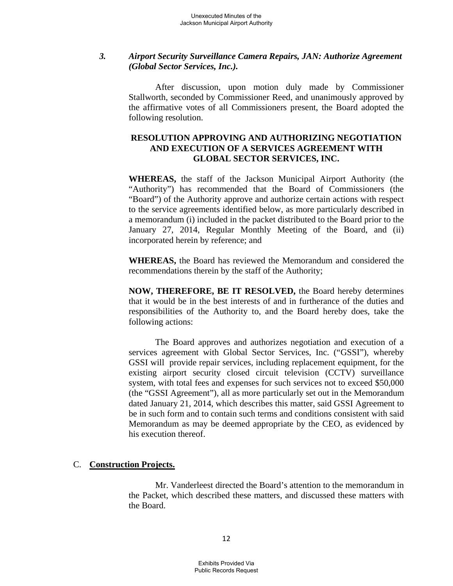### *3. Airport Security Surveillance Camera Repairs, JAN: Authorize Agreement (Global Sector Services, Inc.).*

 After discussion, upon motion duly made by Commissioner Stallworth, seconded by Commissioner Reed, and unanimously approved by the affirmative votes of all Commissioners present, the Board adopted the following resolution.

# **RESOLUTION APPROVING AND AUTHORIZING NEGOTIATION AND EXECUTION OF A SERVICES AGREEMENT WITH GLOBAL SECTOR SERVICES, INC.**

**WHEREAS,** the staff of the Jackson Municipal Airport Authority (the "Authority") has recommended that the Board of Commissioners (the "Board") of the Authority approve and authorize certain actions with respect to the service agreements identified below, as more particularly described in a memorandum (i) included in the packet distributed to the Board prior to the January 27, 2014, Regular Monthly Meeting of the Board, and (ii) incorporated herein by reference; and

**WHEREAS,** the Board has reviewed the Memorandum and considered the recommendations therein by the staff of the Authority;

**NOW, THEREFORE, BE IT RESOLVED,** the Board hereby determines that it would be in the best interests of and in furtherance of the duties and responsibilities of the Authority to, and the Board hereby does, take the following actions:

 The Board approves and authorizes negotiation and execution of a services agreement with Global Sector Services, Inc. ("GSSI"), whereby GSSI will provide repair services, including replacement equipment, for the existing airport security closed circuit television (CCTV) surveillance system, with total fees and expenses for such services not to exceed \$50,000 (the "GSSI Agreement"), all as more particularly set out in the Memorandum dated January 21, 2014, which describes this matter, said GSSI Agreement to be in such form and to contain such terms and conditions consistent with said Memorandum as may be deemed appropriate by the CEO, as evidenced by his execution thereof.

### C. **Construction Projects.**

 Mr. Vanderleest directed the Board's attention to the memorandum in the Packet, which described these matters, and discussed these matters with the Board.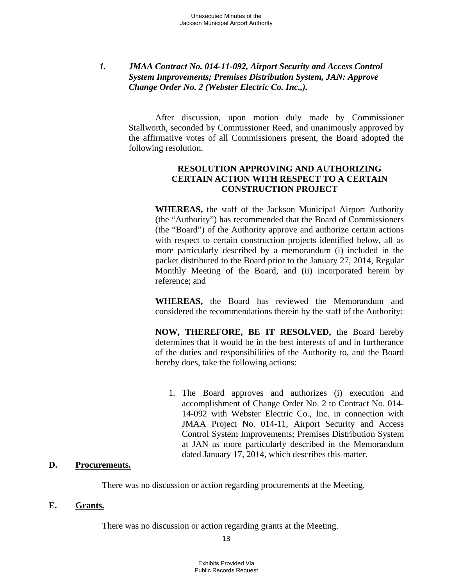# *1. JMAA Contract No. 014-11-092, Airport Security and Access Control System Improvements; Premises Distribution System, JAN: Approve Change Order No. 2 (Webster Electric Co. Inc.,).*

 After discussion, upon motion duly made by Commissioner Stallworth, seconded by Commissioner Reed, and unanimously approved by the affirmative votes of all Commissioners present, the Board adopted the following resolution.

# **RESOLUTION APPROVING AND AUTHORIZING CERTAIN ACTION WITH RESPECT TO A CERTAIN CONSTRUCTION PROJECT**

**WHEREAS,** the staff of the Jackson Municipal Airport Authority (the "Authority") has recommended that the Board of Commissioners (the "Board") of the Authority approve and authorize certain actions with respect to certain construction projects identified below, all as more particularly described by a memorandum (i) included in the packet distributed to the Board prior to the January 27, 2014, Regular Monthly Meeting of the Board, and (ii) incorporated herein by reference; and

**WHEREAS,** the Board has reviewed the Memorandum and considered the recommendations therein by the staff of the Authority;

**NOW, THEREFORE, BE IT RESOLVED,** the Board hereby determines that it would be in the best interests of and in furtherance of the duties and responsibilities of the Authority to, and the Board hereby does, take the following actions:

1. The Board approves and authorizes (i) execution and accomplishment of Change Order No. 2 to Contract No. 014- 14-092 with Webster Electric Co., Inc. in connection with JMAA Project No. 014-11, Airport Security and Access Control System Improvements; Premises Distribution System at JAN as more particularly described in the Memorandum dated January 17, 2014, which describes this matter.

### **D. Procurements.**

There was no discussion or action regarding procurements at the Meeting.

### **E. Grants.**

There was no discussion or action regarding grants at the Meeting.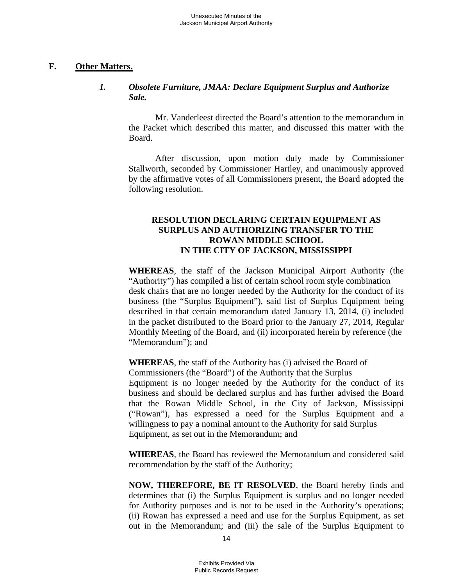### **F. Other Matters.**

# *1. Obsolete Furniture, JMAA: Declare Equipment Surplus and Authorize Sale.*

 Mr. Vanderleest directed the Board's attention to the memorandum in the Packet which described this matter, and discussed this matter with the Board.

 After discussion, upon motion duly made by Commissioner Stallworth, seconded by Commissioner Hartley, and unanimously approved by the affirmative votes of all Commissioners present, the Board adopted the following resolution.

# **RESOLUTION DECLARING CERTAIN EQUIPMENT AS SURPLUS AND AUTHORIZING TRANSFER TO THE ROWAN MIDDLE SCHOOL IN THE CITY OF JACKSON, MISSISSIPPI**

**WHEREAS**, the staff of the Jackson Municipal Airport Authority (the "Authority") has compiled a list of certain school room style combination desk chairs that are no longer needed by the Authority for the conduct of its business (the "Surplus Equipment"), said list of Surplus Equipment being described in that certain memorandum dated January 13, 2014, (i) included in the packet distributed to the Board prior to the January 27, 2014, Regular Monthly Meeting of the Board, and (ii) incorporated herein by reference (the "Memorandum"); and

**WHEREAS**, the staff of the Authority has (i) advised the Board of Commissioners (the "Board") of the Authority that the Surplus Equipment is no longer needed by the Authority for the conduct of its business and should be declared surplus and has further advised the Board that the Rowan Middle School, in the City of Jackson, Mississippi ("Rowan"), has expressed a need for the Surplus Equipment and a willingness to pay a nominal amount to the Authority for said Surplus Equipment, as set out in the Memorandum; and

**WHEREAS**, the Board has reviewed the Memorandum and considered said recommendation by the staff of the Authority;

**NOW, THEREFORE, BE IT RESOLVED**, the Board hereby finds and determines that (i) the Surplus Equipment is surplus and no longer needed for Authority purposes and is not to be used in the Authority's operations; (ii) Rowan has expressed a need and use for the Surplus Equipment, as set out in the Memorandum; and (iii) the sale of the Surplus Equipment to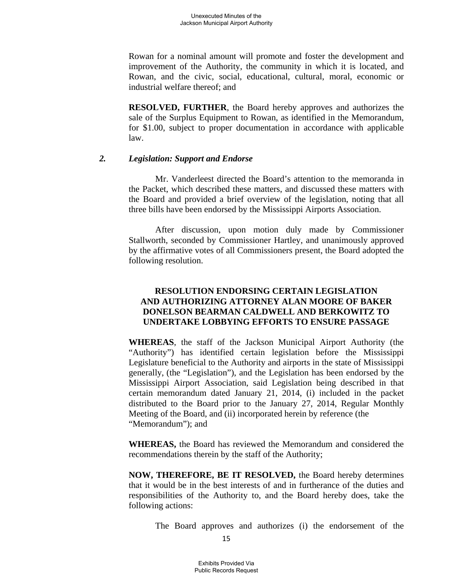Rowan for a nominal amount will promote and foster the development and improvement of the Authority, the community in which it is located, and Rowan, and the civic, social, educational, cultural, moral, economic or industrial welfare thereof; and

**RESOLVED, FURTHER**, the Board hereby approves and authorizes the sale of the Surplus Equipment to Rowan, as identified in the Memorandum, for \$1.00, subject to proper documentation in accordance with applicable law.

### *2. Legislation: Support and Endorse*

 Mr. Vanderleest directed the Board's attention to the memoranda in the Packet, which described these matters, and discussed these matters with the Board and provided a brief overview of the legislation, noting that all three bills have been endorsed by the Mississippi Airports Association.

 After discussion, upon motion duly made by Commissioner Stallworth, seconded by Commissioner Hartley, and unanimously approved by the affirmative votes of all Commissioners present, the Board adopted the following resolution.

### **RESOLUTION ENDORSING CERTAIN LEGISLATION AND AUTHORIZING ATTORNEY ALAN MOORE OF BAKER DONELSON BEARMAN CALDWELL AND BERKOWITZ TO UNDERTAKE LOBBYING EFFORTS TO ENSURE PASSAGE**

**WHEREAS**, the staff of the Jackson Municipal Airport Authority (the "Authority") has identified certain legislation before the Mississippi Legislature beneficial to the Authority and airports in the state of Mississippi generally, (the "Legislation"), and the Legislation has been endorsed by the Mississippi Airport Association, said Legislation being described in that certain memorandum dated January 21, 2014, (i) included in the packet distributed to the Board prior to the January 27, 2014, Regular Monthly Meeting of the Board, and (ii) incorporated herein by reference (the "Memorandum"); and

**WHEREAS,** the Board has reviewed the Memorandum and considered the recommendations therein by the staff of the Authority;

**NOW, THEREFORE, BE IT RESOLVED,** the Board hereby determines that it would be in the best interests of and in furtherance of the duties and responsibilities of the Authority to, and the Board hereby does, take the following actions:

The Board approves and authorizes (i) the endorsement of the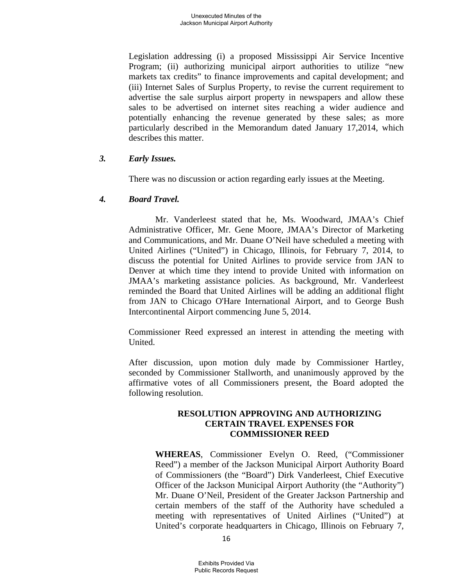Legislation addressing (i) a proposed Mississippi Air Service Incentive Program; (ii) authorizing municipal airport authorities to utilize "new markets tax credits" to finance improvements and capital development; and (iii) Internet Sales of Surplus Property, to revise the current requirement to advertise the sale surplus airport property in newspapers and allow these sales to be advertised on internet sites reaching a wider audience and potentially enhancing the revenue generated by these sales; as more particularly described in the Memorandum dated January 17,2014, which describes this matter.

### *3. Early Issues.*

There was no discussion or action regarding early issues at the Meeting.

### *4. Board Travel.*

 Mr. Vanderleest stated that he, Ms. Woodward, JMAA's Chief Administrative Officer, Mr. Gene Moore, JMAA's Director of Marketing and Communications, and Mr. Duane O'Neil have scheduled a meeting with United Airlines ("United") in Chicago, Illinois, for February 7, 2014, to discuss the potential for United Airlines to provide service from JAN to Denver at which time they intend to provide United with information on JMAA's marketing assistance policies. As background, Mr. Vanderleest reminded the Board that United Airlines will be adding an additional flight from JAN to Chicago O'Hare International Airport, and to George Bush Intercontinental Airport commencing June 5, 2014.

Commissioner Reed expressed an interest in attending the meeting with United.

After discussion, upon motion duly made by Commissioner Hartley, seconded by Commissioner Stallworth, and unanimously approved by the affirmative votes of all Commissioners present, the Board adopted the following resolution.

### **RESOLUTION APPROVING AND AUTHORIZING CERTAIN TRAVEL EXPENSES FOR COMMISSIONER REED**

**WHEREAS**, Commissioner Evelyn O. Reed, ("Commissioner Reed") a member of the Jackson Municipal Airport Authority Board of Commissioners (the "Board") Dirk Vanderleest, Chief Executive Officer of the Jackson Municipal Airport Authority (the "Authority") Mr. Duane O'Neil, President of the Greater Jackson Partnership and certain members of the staff of the Authority have scheduled a meeting with representatives of United Airlines ("United") at United's corporate headquarters in Chicago, Illinois on February 7,